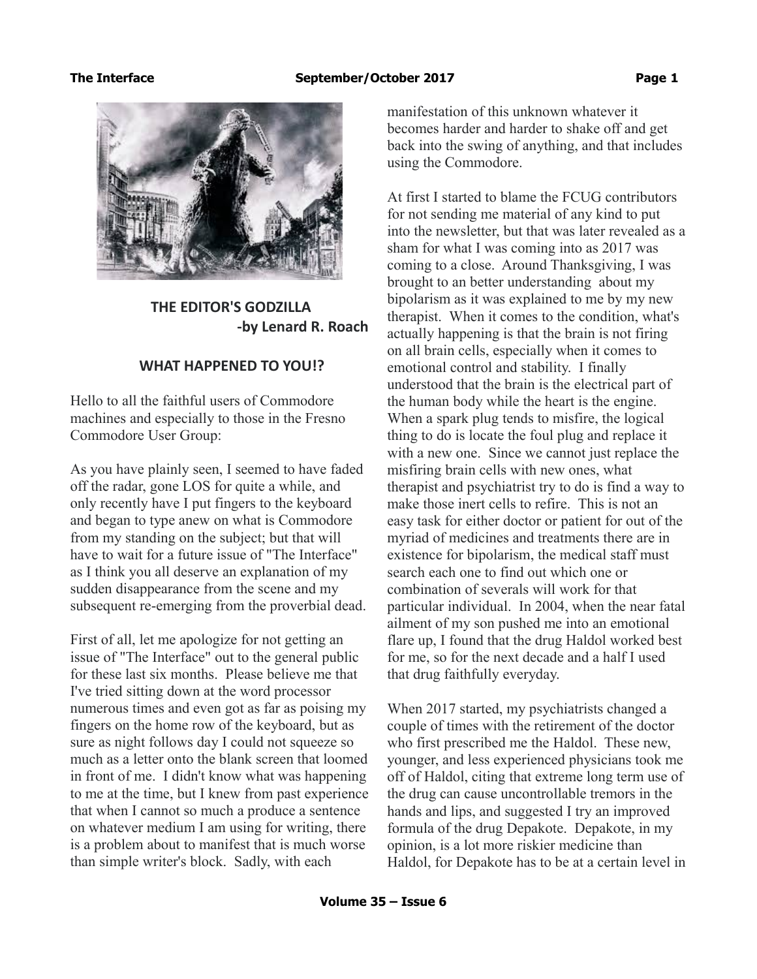

 **THE EDITOR'S GODZILLA -by Lenard R. Roach**

# **WHAT HAPPENED TO YOU!?**

Hello to all the faithful users of Commodore machines and especially to those in the Fresno Commodore User Group:

As you have plainly seen, I seemed to have faded off the radar, gone LOS for quite a while, and only recently have I put fingers to the keyboard and began to type anew on what is Commodore from my standing on the subject; but that will have to wait for a future issue of "The Interface" as I think you all deserve an explanation of my sudden disappearance from the scene and my subsequent re-emerging from the proverbial dead.

First of all, let me apologize for not getting an issue of "The Interface" out to the general public for these last six months. Please believe me that I've tried sitting down at the word processor numerous times and even got as far as poising my fingers on the home row of the keyboard, but as sure as night follows day I could not squeeze so much as a letter onto the blank screen that loomed in front of me. I didn't know what was happening to me at the time, but I knew from past experience that when I cannot so much a produce a sentence on whatever medium I am using for writing, there is a problem about to manifest that is much worse than simple writer's block. Sadly, with each

manifestation of this unknown whatever it becomes harder and harder to shake off and get back into the swing of anything, and that includes using the Commodore.

At first I started to blame the FCUG contributors for not sending me material of any kind to put into the newsletter, but that was later revealed as a sham for what I was coming into as 2017 was coming to a close. Around Thanksgiving, I was brought to an better understanding about my bipolarism as it was explained to me by my new therapist. When it comes to the condition, what's actually happening is that the brain is not firing on all brain cells, especially when it comes to emotional control and stability. I finally understood that the brain is the electrical part of the human body while the heart is the engine. When a spark plug tends to misfire, the logical thing to do is locate the foul plug and replace it with a new one. Since we cannot just replace the misfiring brain cells with new ones, what therapist and psychiatrist try to do is find a way to make those inert cells to refire. This is not an easy task for either doctor or patient for out of the myriad of medicines and treatments there are in existence for bipolarism, the medical staff must search each one to find out which one or combination of severals will work for that particular individual. In 2004, when the near fatal ailment of my son pushed me into an emotional flare up, I found that the drug Haldol worked best for me, so for the next decade and a half I used that drug faithfully everyday.

When 2017 started, my psychiatrists changed a couple of times with the retirement of the doctor who first prescribed me the Haldol. These new, younger, and less experienced physicians took me off of Haldol, citing that extreme long term use of the drug can cause uncontrollable tremors in the hands and lips, and suggested I try an improved formula of the drug Depakote. Depakote, in my opinion, is a lot more riskier medicine than Haldol, for Depakote has to be at a certain level in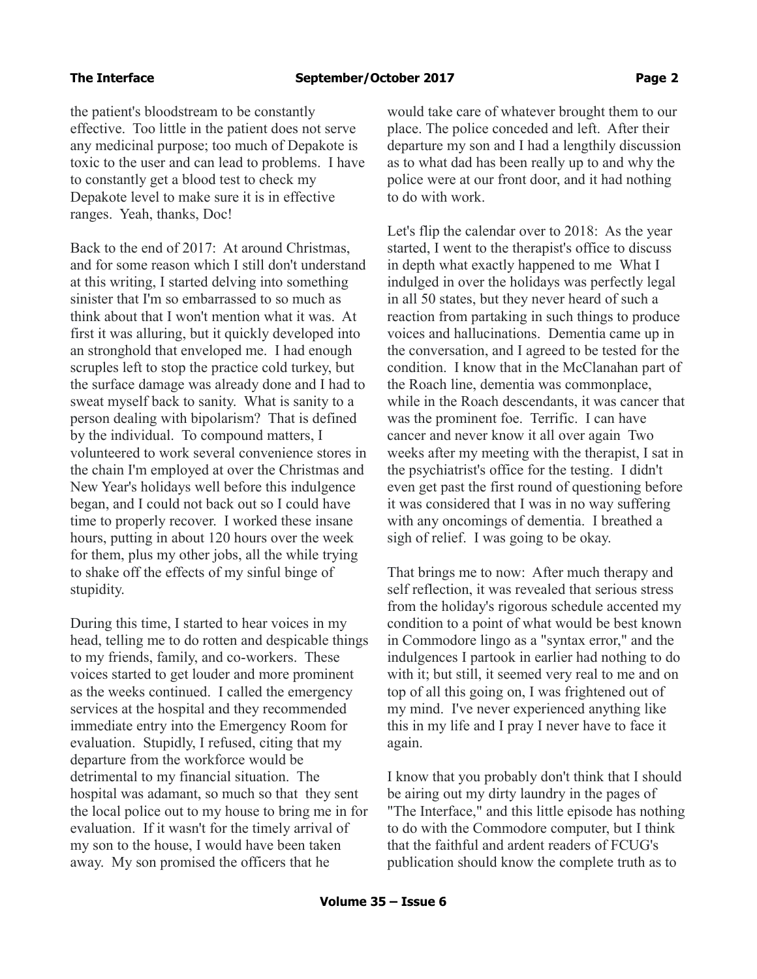the patient's bloodstream to be constantly effective. Too little in the patient does not serve any medicinal purpose; too much of Depakote is toxic to the user and can lead to problems. I have to constantly get a blood test to check my Depakote level to make sure it is in effective ranges. Yeah, thanks, Doc!

Back to the end of 2017: At around Christmas, and for some reason which I still don't understand at this writing, I started delving into something sinister that I'm so embarrassed to so much as think about that I won't mention what it was. At first it was alluring, but it quickly developed into an stronghold that enveloped me. I had enough scruples left to stop the practice cold turkey, but the surface damage was already done and I had to sweat myself back to sanity. What is sanity to a person dealing with bipolarism? That is defined by the individual. To compound matters, I volunteered to work several convenience stores in the chain I'm employed at over the Christmas and New Year's holidays well before this indulgence began, and I could not back out so I could have time to properly recover. I worked these insane hours, putting in about 120 hours over the week for them, plus my other jobs, all the while trying to shake off the effects of my sinful binge of stupidity.

During this time, I started to hear voices in my head, telling me to do rotten and despicable things to my friends, family, and co-workers. These voices started to get louder and more prominent as the weeks continued. I called the emergency services at the hospital and they recommended immediate entry into the Emergency Room for evaluation. Stupidly, I refused, citing that my departure from the workforce would be detrimental to my financial situation. The hospital was adamant, so much so that they sent the local police out to my house to bring me in for evaluation. If it wasn't for the timely arrival of my son to the house, I would have been taken away. My son promised the officers that he

would take care of whatever brought them to our place. The police conceded and left. After their departure my son and I had a lengthily discussion as to what dad has been really up to and why the police were at our front door, and it had nothing to do with work.

Let's flip the calendar over to 2018: As the year started, I went to the therapist's office to discuss in depth what exactly happened to me What I indulged in over the holidays was perfectly legal in all 50 states, but they never heard of such a reaction from partaking in such things to produce voices and hallucinations. Dementia came up in the conversation, and I agreed to be tested for the condition. I know that in the McClanahan part of the Roach line, dementia was commonplace, while in the Roach descendants, it was cancer that was the prominent foe. Terrific. I can have cancer and never know it all over again Two weeks after my meeting with the therapist, I sat in the psychiatrist's office for the testing. I didn't even get past the first round of questioning before it was considered that I was in no way suffering with any oncomings of dementia. I breathed a sigh of relief. I was going to be okay.

That brings me to now: After much therapy and self reflection, it was revealed that serious stress from the holiday's rigorous schedule accented my condition to a point of what would be best known in Commodore lingo as a "syntax error," and the indulgences I partook in earlier had nothing to do with it; but still, it seemed very real to me and on top of all this going on, I was frightened out of my mind. I've never experienced anything like this in my life and I pray I never have to face it again.

I know that you probably don't think that I should be airing out my dirty laundry in the pages of "The Interface," and this little episode has nothing to do with the Commodore computer, but I think that the faithful and ardent readers of FCUG's publication should know the complete truth as to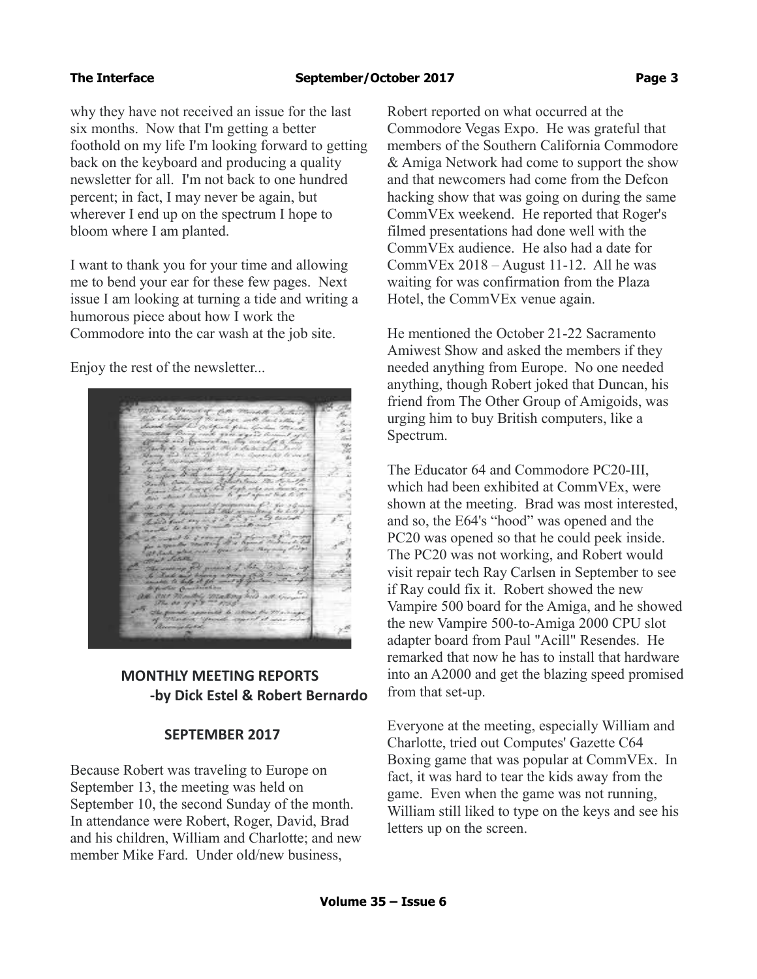why they have not received an issue for the last six months. Now that I'm getting a better foothold on my life I'm looking forward to getting back on the keyboard and producing a quality newsletter for all. I'm not back to one hundred percent; in fact, I may never be again, but wherever I end up on the spectrum I hope to bloom where I am planted.

I want to thank you for your time and allowing me to bend your ear for these few pages. Next issue I am looking at turning a tide and writing a humorous piece about how I work the Commodore into the car wash at the job site.

Enjoy the rest of the newsletter...



# **MONTHLY MEETING REPORTS -by Dick Estel & Robert Bernardo**

# **SEPTEMBER 2017**

Because Robert was traveling to Europe on September 13, the meeting was held on September 10, the second Sunday of the month. In attendance were Robert, Roger, David, Brad and his children, William and Charlotte; and new member Mike Fard. Under old/new business,

Robert reported on what occurred at the Commodore Vegas Expo. He was grateful that members of the Southern California Commodore & Amiga Network had come to support the show and that newcomers had come from the Defcon hacking show that was going on during the same CommVEx weekend. He reported that Roger's filmed presentations had done well with the CommVEx audience. He also had a date for CommVEx 2018 – August 11-12. All he was waiting for was confirmation from the Plaza Hotel, the CommVEx venue again.

He mentioned the October 21-22 Sacramento Amiwest Show and asked the members if they needed anything from Europe. No one needed anything, though Robert joked that Duncan, his friend from The Other Group of Amigoids, was urging him to buy British computers, like a Spectrum.

The Educator 64 and Commodore PC20-III, which had been exhibited at CommVEx, were shown at the meeting. Brad was most interested, and so, the E64's "hood" was opened and the PC20 was opened so that he could peek inside. The PC20 was not working, and Robert would visit repair tech Ray Carlsen in September to see if Ray could fix it. Robert showed the new Vampire 500 board for the Amiga, and he showed the new Vampire 500-to-Amiga 2000 CPU slot adapter board from Paul "Acill" Resendes. He remarked that now he has to install that hardware into an A2000 and get the blazing speed promised from that set-up.

Everyone at the meeting, especially William and Charlotte, tried out Computes' Gazette C64 Boxing game that was popular at CommVEx. In fact, it was hard to tear the kids away from the game. Even when the game was not running, William still liked to type on the keys and see his letters up on the screen.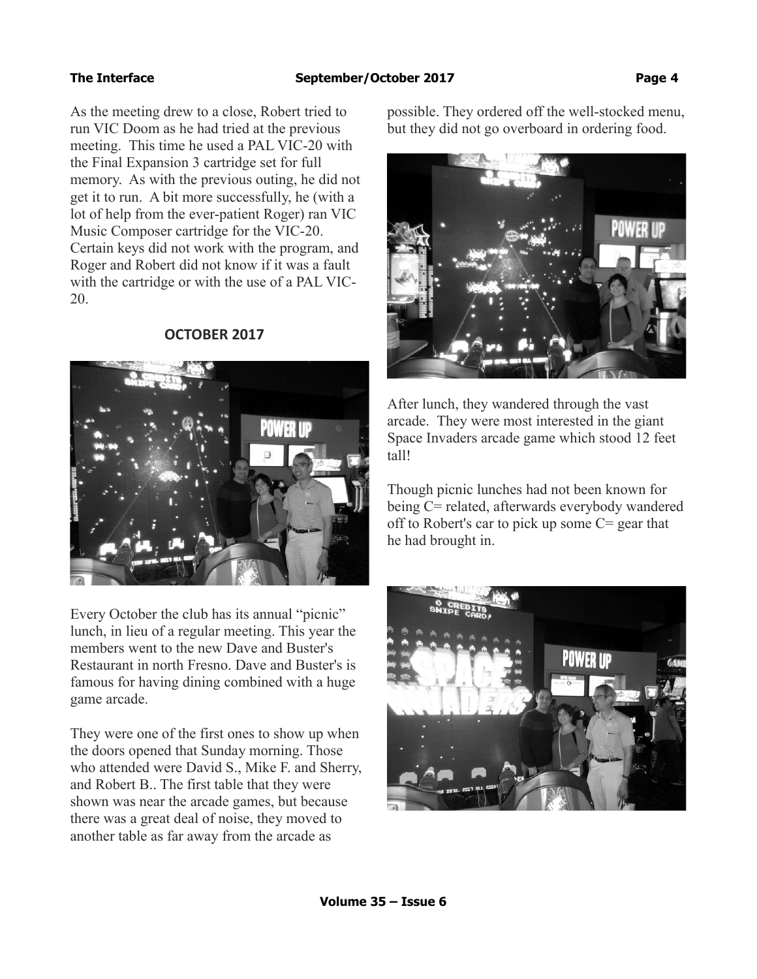As the meeting drew to a close, Robert tried to run VIC Doom as he had tried at the previous meeting. This time he used a PAL VIC-20 with the Final Expansion 3 cartridge set for full memory. As with the previous outing, he did not get it to run. A bit more successfully, he (with a lot of help from the ever-patient Roger) ran VIC Music Composer cartridge for the VIC-20. Certain keys did not work with the program, and Roger and Robert did not know if it was a fault with the cartridge or with the use of a PAL VIC-20.

# **OCTOBER 2017**



Every October the club has its annual "picnic" lunch, in lieu of a regular meeting. This year the members went to the new Dave and Buster's Restaurant in north Fresno. Dave and Buster's is famous for having dining combined with a huge game arcade.

They were one of the first ones to show up when the doors opened that Sunday morning. Those who attended were David S., Mike F. and Sherry, and Robert B.. The first table that they were shown was near the arcade games, but because there was a great deal of noise, they moved to another table as far away from the arcade as

possible. They ordered off the well-stocked menu, but they did not go overboard in ordering food.



After lunch, they wandered through the vast arcade. They were most interested in the giant Space Invaders arcade game which stood 12 feet tall!

Though picnic lunches had not been known for being C= related, afterwards everybody wandered off to Robert's car to pick up some C= gear that he had brought in.

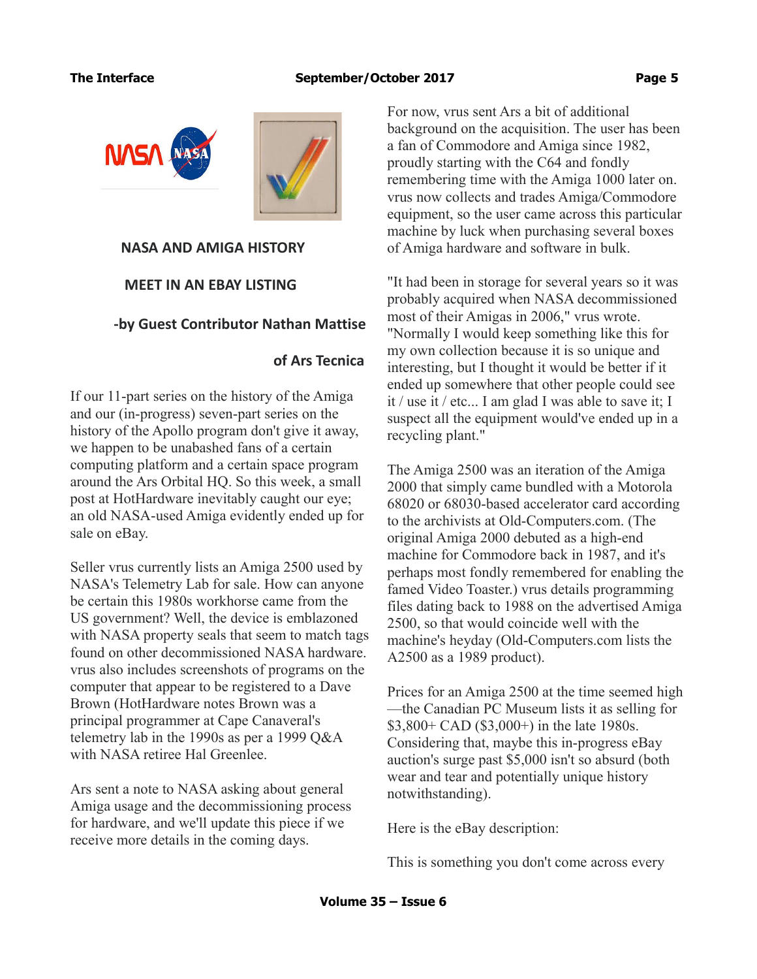

### **NASA AND AMIGA HISTORY**

# **MEET IN AN EBAY LISTING**

# **-by Guest Contributor Nathan Mattise**

# **of Ars Tecnica**

If our 11-part series on the history of the Amiga and our (in-progress) seven-part series on the history of the Apollo program don't give it away, we happen to be unabashed fans of a certain computing platform and a certain space program around the Ars Orbital HQ. So this week, a small post at HotHardware inevitably caught our eye; an old NASA-used Amiga evidently ended up for sale on eBay.

Seller vrus currently lists an Amiga 2500 used by NASA's Telemetry Lab for sale. How can anyone be certain this 1980s workhorse came from the US government? Well, the device is emblazoned with NASA property seals that seem to match tags found on other decommissioned NASA hardware. vrus also includes screenshots of programs on the computer that appear to be registered to a Dave Brown (HotHardware notes Brown was a principal programmer at Cape Canaveral's telemetry lab in the 1990s as per a 1999 Q&A with NASA retiree Hal Greenlee.

Ars sent a note to NASA asking about general Amiga usage and the decommissioning process for hardware, and we'll update this piece if we receive more details in the coming days.

For now, vrus sent Ars a bit of additional background on the acquisition. The user has been a fan of Commodore and Amiga since 1982, proudly starting with the C64 and fondly remembering time with the Amiga 1000 later on. vrus now collects and trades Amiga/Commodore equipment, so the user came across this particular machine by luck when purchasing several boxes of Amiga hardware and software in bulk.

"It had been in storage for several years so it was probably acquired when NASA decommissioned most of their Amigas in 2006," vrus wrote. "Normally I would keep something like this for my own collection because it is so unique and interesting, but I thought it would be better if it ended up somewhere that other people could see it / use it / etc... I am glad I was able to save it; I suspect all the equipment would've ended up in a recycling plant."

The Amiga 2500 was an iteration of the Amiga 2000 that simply came bundled with a Motorola 68020 or 68030-based accelerator card according to the archivists at Old-Computers.com. (The original Amiga 2000 debuted as a high-end machine for Commodore back in 1987, and it's perhaps most fondly remembered for enabling the famed Video Toaster.) vrus details programming files dating back to 1988 on the advertised Amiga 2500, so that would coincide well with the machine's heyday (Old-Computers.com lists the A2500 as a 1989 product).

Prices for an Amiga 2500 at the time seemed high —the Canadian PC Museum lists it as selling for \$3,800+ CAD (\$3,000+) in the late 1980s. Considering that, maybe this in-progress eBay auction's surge past \$5,000 isn't so absurd (both wear and tear and potentially unique history notwithstanding).

Here is the eBay description:

This is something you don't come across every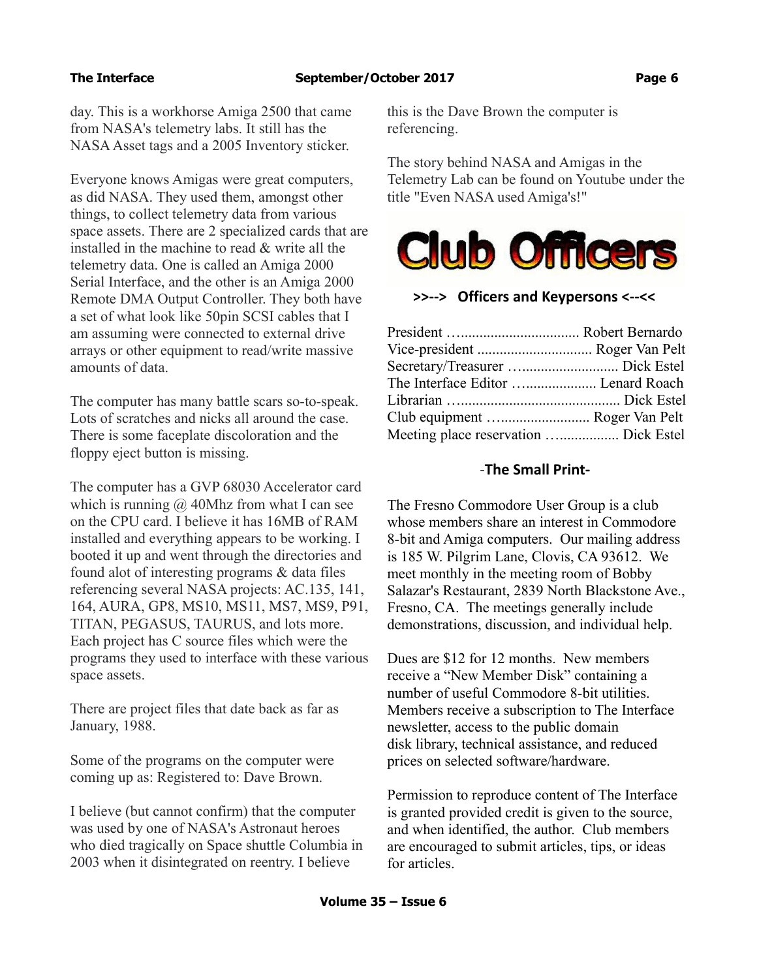day. This is a workhorse Amiga 2500 that came from NASA's telemetry labs. It still has the NASA Asset tags and a 2005 Inventory sticker.

Everyone knows Amigas were great computers, as did NASA. They used them, amongst other things, to collect telemetry data from various space assets. There are 2 specialized cards that are installed in the machine to read & write all the telemetry data. One is called an Amiga 2000 Serial Interface, and the other is an Amiga 2000 Remote DMA Output Controller. They both have a set of what look like 50pin SCSI cables that I am assuming were connected to external drive arrays or other equipment to read/write massive amounts of data.

The computer has many battle scars so-to-speak. Lots of scratches and nicks all around the case. There is some faceplate discoloration and the floppy eject button is missing.

The computer has a GVP 68030 Accelerator card which is running  $\omega$  40Mhz from what I can see on the CPU card. I believe it has 16MB of RAM installed and everything appears to be working. I booted it up and went through the directories and found alot of interesting programs & data files referencing several NASA projects: AC.135, 141, 164, AURA, GP8, MS10, MS11, MS7, MS9, P91, TITAN, PEGASUS, TAURUS, and lots more. Each project has C source files which were the programs they used to interface with these various space assets.

There are project files that date back as far as January, 1988.

Some of the programs on the computer were coming up as: Registered to: Dave Brown.

I believe (but cannot confirm) that the computer was used by one of NASA's Astronaut heroes who died tragically on Space shuttle Columbia in 2003 when it disintegrated on reentry. I believe

this is the Dave Brown the computer is referencing.

The story behind NASA and Amigas in the Telemetry Lab can be found on Youtube under the title "Even NASA used Amiga's!"



### **>>--> Officers and Keypersons <--<<**

| Vice-president  Roger Van Pelt        |  |
|---------------------------------------|--|
|                                       |  |
| The Interface Editor  Lenard Roach    |  |
|                                       |  |
| Club equipment  Roger Van Pelt        |  |
| Meeting place reservation  Dick Estel |  |

### -**The Small Print-**

The Fresno Commodore User Group is a club whose members share an interest in Commodore 8-bit and Amiga computers. Our mailing address is 185 W. Pilgrim Lane, Clovis, CA 93612. We meet monthly in the meeting room of Bobby Salazar's Restaurant, 2839 North Blackstone Ave., Fresno, CA. The meetings generally include demonstrations, discussion, and individual help.

Dues are \$12 for 12 months. New members receive a "New Member Disk" containing a number of useful Commodore 8-bit utilities. Members receive a subscription to The Interface newsletter, access to the public domain disk library, technical assistance, and reduced prices on selected software/hardware.

Permission to reproduce content of The Interface is granted provided credit is given to the source, and when identified, the author. Club members are encouraged to submit articles, tips, or ideas for articles.